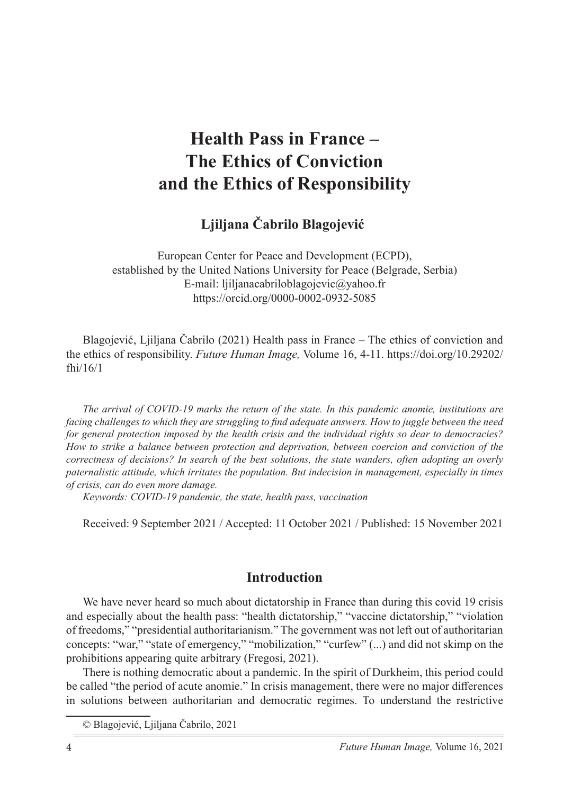# **Health Pass in France – The Ethics of Conviction and the Ethics of Responsibility**

**Ljiljana Čabrilo Blagojević**<sup>1</sup>

European Center for Peace and Development (ECPD), established by the United Nations University for Peace (Belgrade, Serbia) E-mail: ljiljanacabriloblagojevic@yahoo.fr https://orcid.org/0000-0002-0932-5085

Blagojević, Ljiljana Čabrilo (2021) Health pass in France – The ethics of conviction and the ethics of responsibility. *Future Human Image,* Volume 16, 4-11. https://doi.org/10.29202/ fhi/16/1

*The arrival of COVID-19 marks the return of the state. In this pandemic anomie, institutions are facing challenges to which they are struggling to find adequate answers. How to juggle between the need for general protection imposed by the health crisis and the individual rights so dear to democracies? How to strike a balance between protection and deprivation, between coercion and conviction of the correctness of decisions? In search of the best solutions, the state wanders, often adopting an overly paternalistic attitude, which irritates the population. But indecision in management, especially in times of crisis, can do even more damage.*

*Keywords: COVID-19 pandemic, the state, health pass, vaccination*

Received: 9 September 2021 / Accepted: 11 October 2021 / Published: 15 November 2021

## **Introduction**

We have never heard so much about dictatorship in France than during this covid 19 crisis and especially about the health pass: "health dictatorship," "vaccine dictatorship," "violation of freedoms," "presidential authoritarianism." The government was not left out of authoritarian concepts: "war," "state of emergency," "mobilization," "curfew" (...) and did not skimp on the prohibitions appearing quite arbitrary (Fregosi, 2021).

There is nothing democratic about a pandemic. In the spirit of Durkheim, this period could be called "the period of acute anomie." In crisis management, there were no major differences in solutions between authoritarian and democratic regimes. To understand the restrictive

<sup>©</sup> Blagojević, Ljiljana Čabrilo, 2021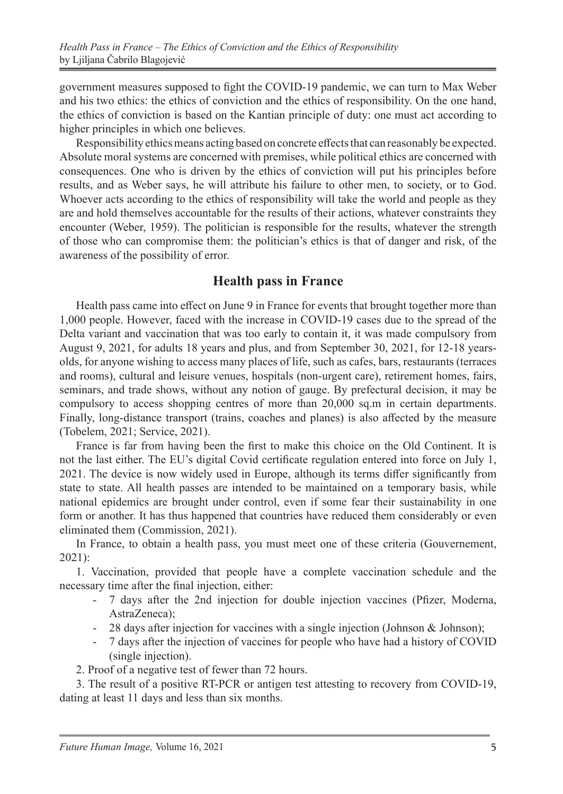government measures supposed to fight the COVID-19 pandemic, we can turn to Max Weber and his two ethics: the ethics of conviction and the ethics of responsibility. On the one hand, the ethics of conviction is based on the Kantian principle of duty: one must act according to higher principles in which one believes.

Responsibility ethics means acting based on concrete effects that can reasonably be expected. Absolute moral systems are concerned with premises, while political ethics are concerned with consequences. One who is driven by the ethics of conviction will put his principles before results, and as Weber says, he will attribute his failure to other men, to society, or to God. Whoever acts according to the ethics of responsibility will take the world and people as they are and hold themselves accountable for the results of their actions, whatever constraints they encounter (Weber, 1959). The politician is responsible for the results, whatever the strength of those who can compromise them: the politician's ethics is that of danger and risk, of the awareness of the possibility of error.

## **Health pass in France**

Health pass came into effect on June 9 in France for events that brought together more than 1,000 people. However, faced with the increase in COVID-19 cases due to the spread of the Delta variant and vaccination that was too early to contain it, it was made compulsory from August 9, 2021, for adults 18 years and plus, and from September 30, 2021, for 12-18 yearsolds, for anyone wishing to access many places of life, such as cafes, bars, restaurants (terraces and rooms), cultural and leisure venues, hospitals (non-urgent care), retirement homes, fairs, seminars, and trade shows, without any notion of gauge. By prefectural decision, it may be compulsory to access shopping centres of more than 20,000 sq.m in certain departments. Finally, long-distance transport (trains, coaches and planes) is also affected by the measure (Tobelem, 2021; Service, 2021).

France is far from having been the first to make this choice on the Old Continent. It is not the last either. The EU's digital Covid certificate regulation entered into force on July 1, 2021. The device is now widely used in Europe, although its terms differ significantly from state to state. All health passes are intended to be maintained on a temporary basis, while national epidemics are brought under control, even if some fear their sustainability in one form or another. It has thus happened that countries have reduced them considerably or even eliminated them (Commission, 2021).

In France, to obtain a health pass, you must meet one of these criteria (Gouvernement, 2021):

1. Vaccination, provided that people have a complete vaccination schedule and the necessary time after the final injection, either:

- 7 days after the 2nd injection for double injection vaccines (Pfizer, Moderna, AstraZeneca);
- 28 days after injection for vaccines with a single injection (Johnson & Johnson);
- 7 days after the injection of vaccines for people who have had a history of COVID (single injection).
- 2. Proof of a negative test of fewer than 72 hours.

3. The result of a positive RT-PCR or antigen test attesting to recovery from COVID-19, dating at least 11 days and less than six months.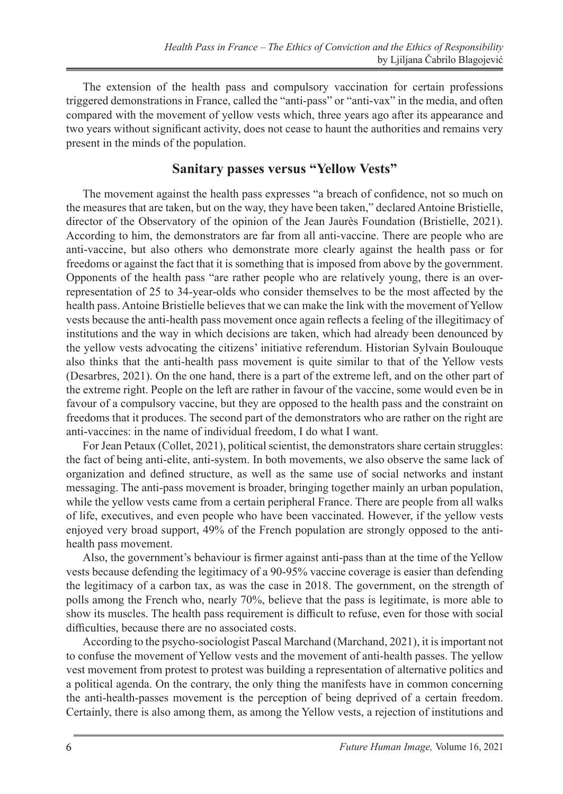The extension of the health pass and compulsory vaccination for certain professions triggered demonstrations in France, called the "anti-pass" or "anti-vax" in the media, and often compared with the movement of yellow vests which, three years ago after its appearance and two years without significant activity, does not cease to haunt the authorities and remains very present in the minds of the population.

#### **Sanitary passes versus "Yellow Vests"**

The movement against the health pass expresses "a breach of confidence, not so much on the measures that are taken, but on the way, they have been taken," declared Antoine Bristielle, director of the Observatory of the opinion of the Jean Jaurès Foundation (Bristielle, 2021). According to him, the demonstrators are far from all anti-vaccine. There are people who are anti-vaccine, but also others who demonstrate more clearly against the health pass or for freedoms or against the fact that it is something that is imposed from above by the government. Opponents of the health pass "are rather people who are relatively young, there is an overrepresentation of 25 to 34-year-olds who consider themselves to be the most affected by the health pass. Antoine Bristielle believes that we can make the link with the movement of Yellow vests because the anti-health pass movement once again reflects a feeling of the illegitimacy of institutions and the way in which decisions are taken, which had already been denounced by the yellow vests advocating the citizens' initiative referendum. Historian Sylvain Boulouque also thinks that the anti-health pass movement is quite similar to that of the Yellow vests (Desarbres, 2021). On the one hand, there is a part of the extreme left, and on the other part of the extreme right. People on the left are rather in favour of the vaccine, some would even be in favour of a compulsory vaccine, but they are opposed to the health pass and the constraint on freedoms that it produces. The second part of the demonstrators who are rather on the right are anti-vaccines: in the name of individual freedom, I do what I want.

For Jean Petaux (Collet, 2021), political scientist, the demonstrators share certain struggles: the fact of being anti-elite, anti-system. In both movements, we also observe the same lack of organization and defined structure, as well as the same use of social networks and instant messaging. The anti-pass movement is broader, bringing together mainly an urban population, while the yellow vests came from a certain peripheral France. There are people from all walks of life, executives, and even people who have been vaccinated. However, if the yellow vests enjoyed very broad support, 49% of the French population are strongly opposed to the antihealth pass movement.

Also, the government's behaviour is firmer against anti-pass than at the time of the Yellow vests because defending the legitimacy of a 90-95% vaccine coverage is easier than defending the legitimacy of a carbon tax, as was the case in 2018. The government, on the strength of polls among the French who, nearly 70%, believe that the pass is legitimate, is more able to show its muscles. The health pass requirement is difficult to refuse, even for those with social difficulties, because there are no associated costs.

According to the psycho-sociologist Pascal Marchand (Marchand, 2021), it is important not to confuse the movement of Yellow vests and the movement of anti-health passes. The yellow vest movement from protest to protest was building a representation of alternative politics and a political agenda. On the contrary, the only thing the manifests have in common concerning the anti-health-passes movement is the perception of being deprived of a certain freedom. Certainly, there is also among them, as among the Yellow vests, a rejection of institutions and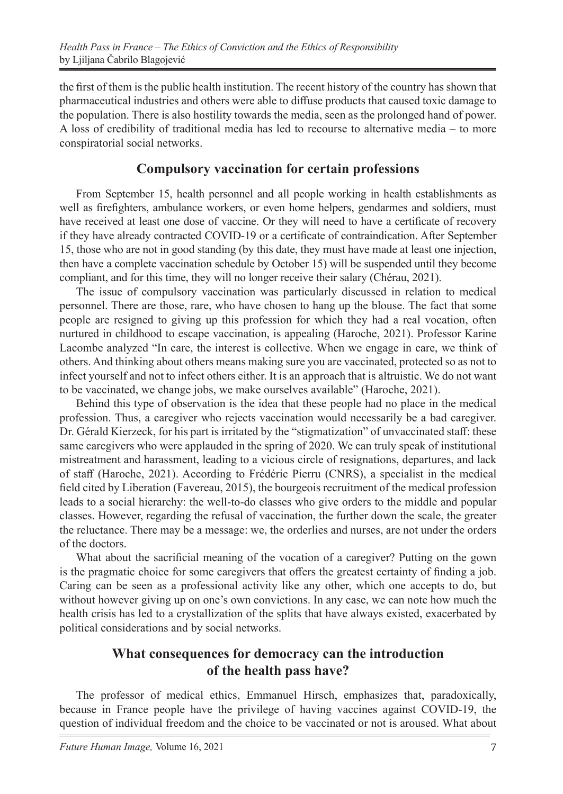the first of them is the public health institution. The recent history of the country has shown that pharmaceutical industries and others were able to diffuse products that caused toxic damage to the population. There is also hostility towards the media, seen as the prolonged hand of power. A loss of credibility of traditional media has led to recourse to alternative media – to more conspiratorial social networks.

### **Compulsory vaccination for certain professions**

From September 15, health personnel and all people working in health establishments as well as firefighters, ambulance workers, or even home helpers, gendarmes and soldiers, must have received at least one dose of vaccine. Or they will need to have a certificate of recovery if they have already contracted COVID-19 or a certificate of contraindication. After September 15, those who are not in good standing (by this date, they must have made at least one injection, then have a complete vaccination schedule by October 15) will be suspended until they become compliant, and for this time, they will no longer receive their salary (Chérau, 2021).

The issue of compulsory vaccination was particularly discussed in relation to medical personnel. There are those, rare, who have chosen to hang up the blouse. The fact that some people are resigned to giving up this profession for which they had a real vocation, often nurtured in childhood to escape vaccination, is appealing (Haroche, 2021). Professor Karine Lacombe analyzed "In care, the interest is collective. When we engage in care, we think of others. And thinking about others means making sure you are vaccinated, protected so as not to infect yourself and not to infect others either. It is an approach that is altruistic. We do not want to be vaccinated, we change jobs, we make ourselves available" (Haroche, 2021).

Behind this type of observation is the idea that these people had no place in the medical profession. Thus, a caregiver who rejects vaccination would necessarily be a bad caregiver. Dr. Gérald Kierzeck, for his part is irritated by the "stigmatization" of unvaccinated staff: these same caregivers who were applauded in the spring of 2020. We can truly speak of institutional mistreatment and harassment, leading to a vicious circle of resignations, departures, and lack of staff (Haroche, 2021). According to Frédéric Pierru (CNRS), a specialist in the medical field cited by Liberation (Favereau, 2015), the bourgeois recruitment of the medical profession leads to a social hierarchy: the well-to-do classes who give orders to the middle and popular classes. However, regarding the refusal of vaccination, the further down the scale, the greater the reluctance. There may be a message: we, the orderlies and nurses, are not under the orders of the doctors.

What about the sacrificial meaning of the vocation of a caregiver? Putting on the gown is the pragmatic choice for some caregivers that offers the greatest certainty of finding a job. Caring can be seen as a professional activity like any other, which one accepts to do, but without however giving up on one's own convictions. In any case, we can note how much the health crisis has led to a crystallization of the splits that have always existed, exacerbated by political considerations and by social networks.

## **What consequences for democracy can the introduction of the health pass have?**

The professor of medical ethics, Emmanuel Hirsch, emphasizes that, paradoxically, because in France people have the privilege of having vaccines against COVID-19, the question of individual freedom and the choice to be vaccinated or not is aroused. What about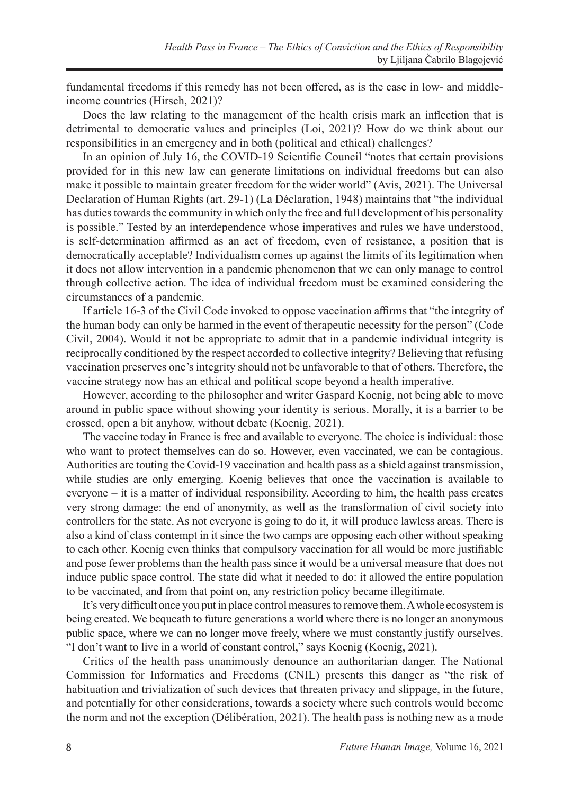fundamental freedoms if this remedy has not been offered, as is the case in low- and middleincome countries (Hirsch, 2021)?

Does the law relating to the management of the health crisis mark an inflection that is detrimental to democratic values and principles (Loi, 2021)? How do we think about our responsibilities in an emergency and in both (political and ethical) challenges?

In an opinion of July 16, the COVID-19 Scientific Council "notes that certain provisions provided for in this new law can generate limitations on individual freedoms but can also make it possible to maintain greater freedom for the wider world" (Avis, 2021). The Universal Declaration of Human Rights (art. 29-1) (La Déclaration, 1948) maintains that "the individual has duties towards the community in which only the free and full development of his personality is possible." Tested by an interdependence whose imperatives and rules we have understood, is self-determination affirmed as an act of freedom, even of resistance, a position that is democratically acceptable? Individualism comes up against the limits of its legitimation when it does not allow intervention in a pandemic phenomenon that we can only manage to control through collective action. The idea of individual freedom must be examined considering the circumstances of a pandemic.

If article 16-3 of the Civil Code invoked to oppose vaccination affirms that "the integrity of the human body can only be harmed in the event of therapeutic necessity for the person" (Code Civil, 2004). Would it not be appropriate to admit that in a pandemic individual integrity is reciprocally conditioned by the respect accorded to collective integrity? Believing that refusing vaccination preserves one's integrity should not be unfavorable to that of others. Therefore, the vaccine strategy now has an ethical and political scope beyond a health imperative.

However, according to the philosopher and writer Gaspard Koenig, not being able to move around in public space without showing your identity is serious. Morally, it is a barrier to be crossed, open a bit anyhow, without debate (Koenig, 2021).

The vaccine today in France is free and available to everyone. The choice is individual: those who want to protect themselves can do so. However, even vaccinated, we can be contagious. Authorities are touting the Covid-19 vaccination and health pass as a shield against transmission, while studies are only emerging. Koenig believes that once the vaccination is available to everyone – it is a matter of individual responsibility. According to him, the health pass creates very strong damage: the end of anonymity, as well as the transformation of civil society into controllers for the state. As not everyone is going to do it, it will produce lawless areas. There is also a kind of class contempt in it since the two camps are opposing each other without speaking to each other. Koenig even thinks that compulsory vaccination for all would be more justifiable and pose fewer problems than the health pass since it would be a universal measure that does not induce public space control. The state did what it needed to do: it allowed the entire population to be vaccinated, and from that point on, any restriction policy became illegitimate.

It's very difficult once you put in place control measures to remove them. A whole ecosystem is being created. We bequeath to future generations a world where there is no longer an anonymous public space, where we can no longer move freely, where we must constantly justify ourselves. "I don't want to live in a world of constant control," says Koenig (Koenig, 2021).

Critics of the health pass unanimously denounce an authoritarian danger. The National Commission for Informatics and Freedoms (CNIL) presents this danger as "the risk of habituation and trivialization of such devices that threaten privacy and slippage, in the future, and potentially for other considerations, towards a society where such controls would become the norm and not the exception (Délibération, 2021). The health pass is nothing new as a mode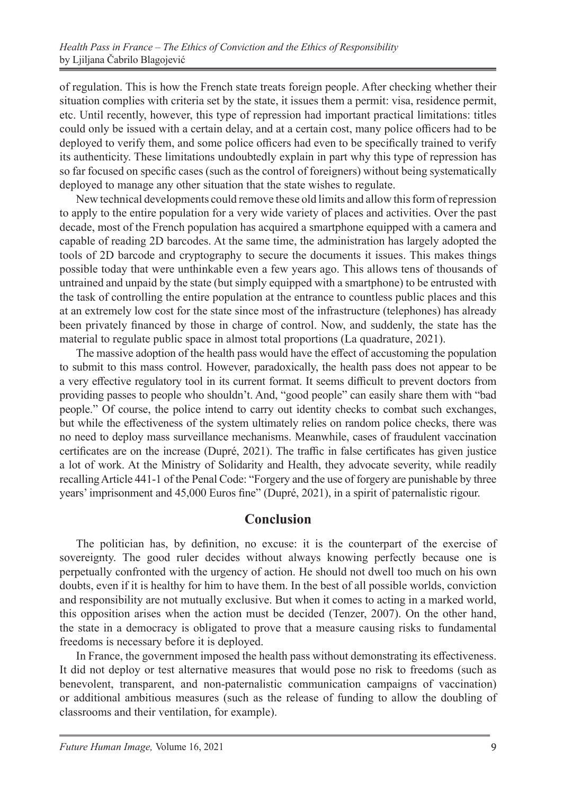of regulation. This is how the French state treats foreign people. After checking whether their situation complies with criteria set by the state, it issues them a permit: visa, residence permit, etc. Until recently, however, this type of repression had important practical limitations: titles could only be issued with a certain delay, and at a certain cost, many police officers had to be deployed to verify them, and some police officers had even to be specifically trained to verify its authenticity. These limitations undoubtedly explain in part why this type of repression has so far focused on specific cases (such as the control of foreigners) without being systematically deployed to manage any other situation that the state wishes to regulate.

New technical developments could remove these old limits and allow this form of repression to apply to the entire population for a very wide variety of places and activities. Over the past decade, most of the French population has acquired a smartphone equipped with a camera and capable of reading 2D barcodes. At the same time, the administration has largely adopted the tools of 2D barcode and cryptography to secure the documents it issues. This makes things possible today that were unthinkable even a few years ago. This allows tens of thousands of untrained and unpaid by the state (but simply equipped with a smartphone) to be entrusted with the task of controlling the entire population at the entrance to countless public places and this at an extremely low cost for the state since most of the infrastructure (telephones) has already been privately financed by those in charge of control. Now, and suddenly, the state has the material to regulate public space in almost total proportions (La quadrature, 2021).

The massive adoption of the health pass would have the effect of accustoming the population to submit to this mass control. However, paradoxically, the health pass does not appear to be a very effective regulatory tool in its current format. It seems difficult to prevent doctors from providing passes to people who shouldn't. And, "good people" can easily share them with "bad people." Of course, the police intend to carry out identity checks to combat such exchanges, but while the effectiveness of the system ultimately relies on random police checks, there was no need to deploy mass surveillance mechanisms. Meanwhile, cases of fraudulent vaccination certificates are on the increase (Dupré, 2021). The traffic in false certificates has given justice a lot of work. At the Ministry of Solidarity and Health, they advocate severity, while readily recalling Article 441-1 of the Penal Code: "Forgery and the use of forgery are punishable by three years' imprisonment and 45,000 Euros fine" (Dupré, 2021), in a spirit of paternalistic rigour.

#### **Conclusion**

The politician has, by definition, no excuse: it is the counterpart of the exercise of sovereignty. The good ruler decides without always knowing perfectly because one is perpetually confronted with the urgency of action. He should not dwell too much on his own doubts, even if it is healthy for him to have them. In the best of all possible worlds, conviction and responsibility are not mutually exclusive. But when it comes to acting in a marked world, this opposition arises when the action must be decided (Tenzer, 2007). On the other hand, the state in a democracy is obligated to prove that a measure causing risks to fundamental freedoms is necessary before it is deployed.

In France, the government imposed the health pass without demonstrating its effectiveness. It did not deploy or test alternative measures that would pose no risk to freedoms (such as benevolent, transparent, and non-paternalistic communication campaigns of vaccination) or additional ambitious measures (such as the release of funding to allow the doubling of classrooms and their ventilation, for example).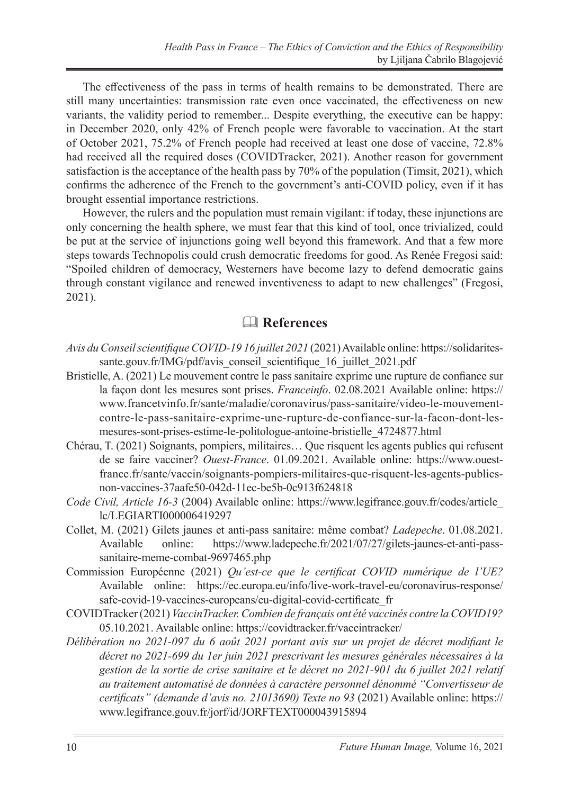The effectiveness of the pass in terms of health remains to be demonstrated. There are still many uncertainties: transmission rate even once vaccinated, the effectiveness on new variants, the validity period to remember... Despite everything, the executive can be happy: in December 2020, only 42% of French people were favorable to vaccination. At the start of October 2021, 75.2% of French people had received at least one dose of vaccine, 72.8% had received all the required doses (COVIDTracker, 2021). Another reason for government satisfaction is the acceptance of the health pass by 70% of the population (Timsit, 2021), which confirms the adherence of the French to the government's anti-COVID policy, even if it has brought essential importance restrictions.

However, the rulers and the population must remain vigilant: if today, these injunctions are only concerning the health sphere, we must fear that this kind of tool, once trivialized, could be put at the service of injunctions going well beyond this framework. And that a few more steps towards Technopolis could crush democratic freedoms for good. As Renée Fregosi said: "Spoiled children of democracy, Westerners have become lazy to defend democratic gains through constant vigilance and renewed inventiveness to adapt to new challenges" (Fregosi, 2021).

## **References**

- *Avis du Conseil scientifique COVID-19 16 juillet 2021* (2021) Available online: https://solidaritessante.gouv.fr/IMG/pdf/avis\_conseil\_scientifique\_16\_juillet\_2021.pdf
- Bristielle, A. (2021) Le mouvement contre le pass sanitaire exprime une rupture de confiance sur la façon dont les mesures sont prises. *Franceinfo*. 02.08.2021 Available online: https:// www.francetvinfo.fr/sante/maladie/coronavirus/pass-sanitaire/video-le-mouvementcontre-le-pass-sanitaire-exprime-une-rupture-de-confiance-sur-la-facon-dont-lesmesures-sont-prises-estime-le-politologue-antoine-bristielle\_4724877.html
- Chérau, T. (2021) Soignants, pompiers, militaires… Que risquent les agents publics qui refusent de se faire vacciner? *Ouest-France*. 01.09.2021. Available online: https://www.ouestfrance.fr/sante/vaccin/soignants-pompiers-militaires-que-risquent-les-agents-publicsnon-vaccines-37aafe50-042d-11ec-be5b-0c913f624818
- *Code Civil, Article 16-3* (2004) Available online: https://www.legifrance.gouv.fr/codes/article\_ lc/LEGIARTI000006419297
- Collet, M. (2021) Gilets jaunes et anti-pass sanitaire: même combat? *Ladepeche*. 01.08.2021. Available online: https://www.ladepeche.fr/2021/07/27/gilets-jaunes-et-anti-passsanitaire-meme-combat-9697465.php
- Commission Européenne (2021) *Qu'est-ce que le certificat COVID numérique de l'UE?* Available online: https://ec.europa.eu/info/live-work-travel-eu/coronavirus-response/ safe-covid-19-vaccines-europeans/eu-digital-covid-certificate\_fr
- COVIDTracker (2021) *VaccinTracker. Combien de français ont été vaccinés contre la COVID19?* 05.10.2021. Available online: https://covidtracker.fr/vaccintracker/
- *Délibération no 2021-097 du 6 août 2021 portant avis sur un projet de décret modifiant le décret no 2021-699 du 1er juin 2021 prescrivant les mesures générales nécessaires à la gestion de la sortie de crise sanitaire et le décret no 2021-901 du 6 juillet 2021 relatif au traitement automatisé de données à caractère personnel dénommé "Convertisseur de certificats" (demande d'avis no. 21013690) Texte no 93* (2021) Available online: https:// www.legifrance.gouv.fr/jorf/id/JORFTEXT000043915894